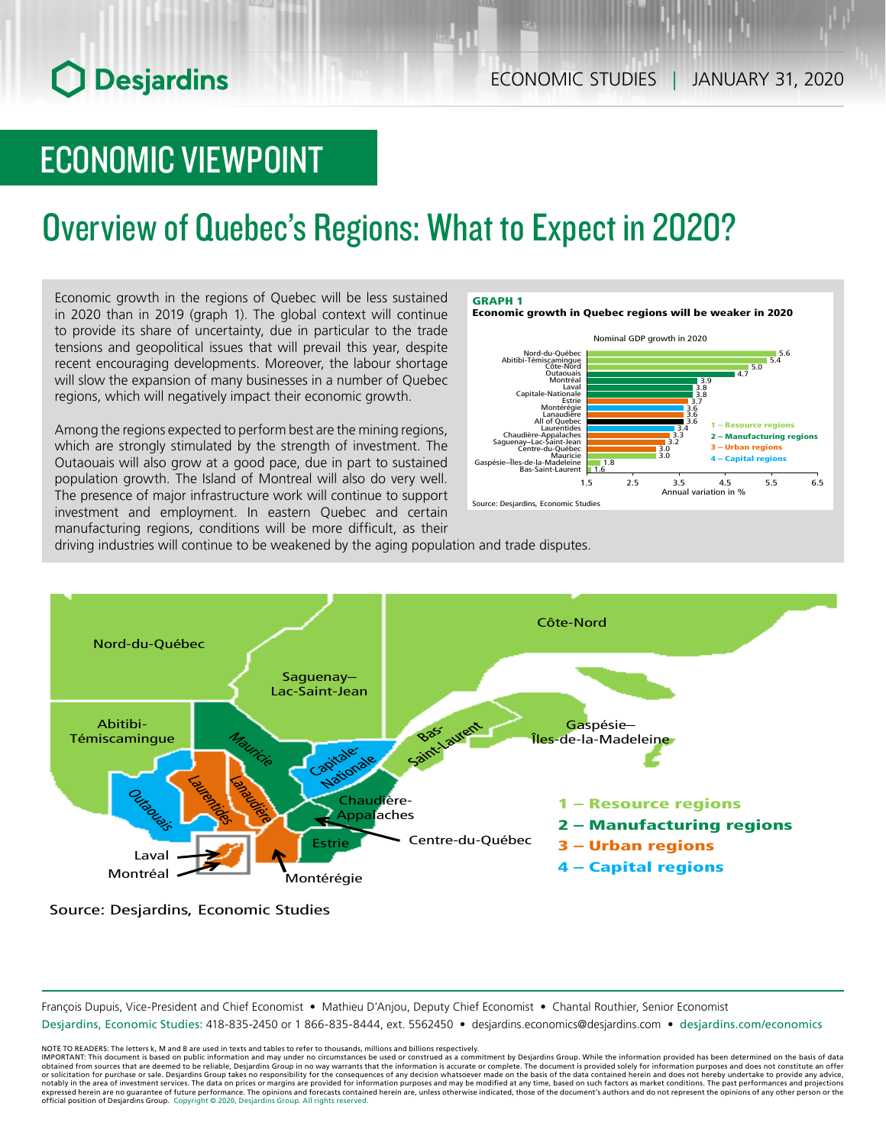# **O** Desjardins

# ECONOMIC VIEWPOINT

# Overview of Quebec's Regions: What to Expect in 2020?

Economic growth in the regions of Quebec will be less sustained in 2020 than in 2019 (graph 1). The global context will continue to provide its share of uncertainty, due in particular to the trade tensions and geopolitical issues that will prevail this year, despite recent encouraging developments. Moreover, the labour shortage will slow the expansion of many businesses in a number of Quebec regions, which will negatively impact their economic growth.

investment and employment. In eastern Quebec and certain manufacturing regions, conditions will be more difficult, as their Among the regions expected to perform best are the mining regions, which are strongly stimulated by the strength of investment. The Outaouais will also grow at a good pace, due in part to sustained population growth. The Island of Montreal will also do very well. The presence of major infrastructure work will continue to support investment and employment. In eastern Quebec and certain



driving industries will continue to be weakened by the aging population and trade disputes.



Source: Desjardins, Economic Studies

François Dupuis, Vice-President and Chief Economist • Mathieu D'Anjou, Deputy Chief Economist • Chantal Routhier, Senior Economist

Desjardins, Economic Studies: 418-835-2450 or 1 866-835-8444, ext. 5562450 • desjardins.economics@desjardins.com • desjardins.com/economics

NOTE TO READERS: The letters k, M and B are used in texts and tables to refer to thousands, millions and billions respectively.<br>IMPORTANT: This document is based on public information and may under no circumstances be used obtained from sources that are deemed to be reliable, Desjardins Group in no way warrants that the information is accurate or complete. The document is provided solely for information purposes and does not constitute an of official position of Desjardins Group. Copyright © 2020, Desjardins Group. All rights reserved.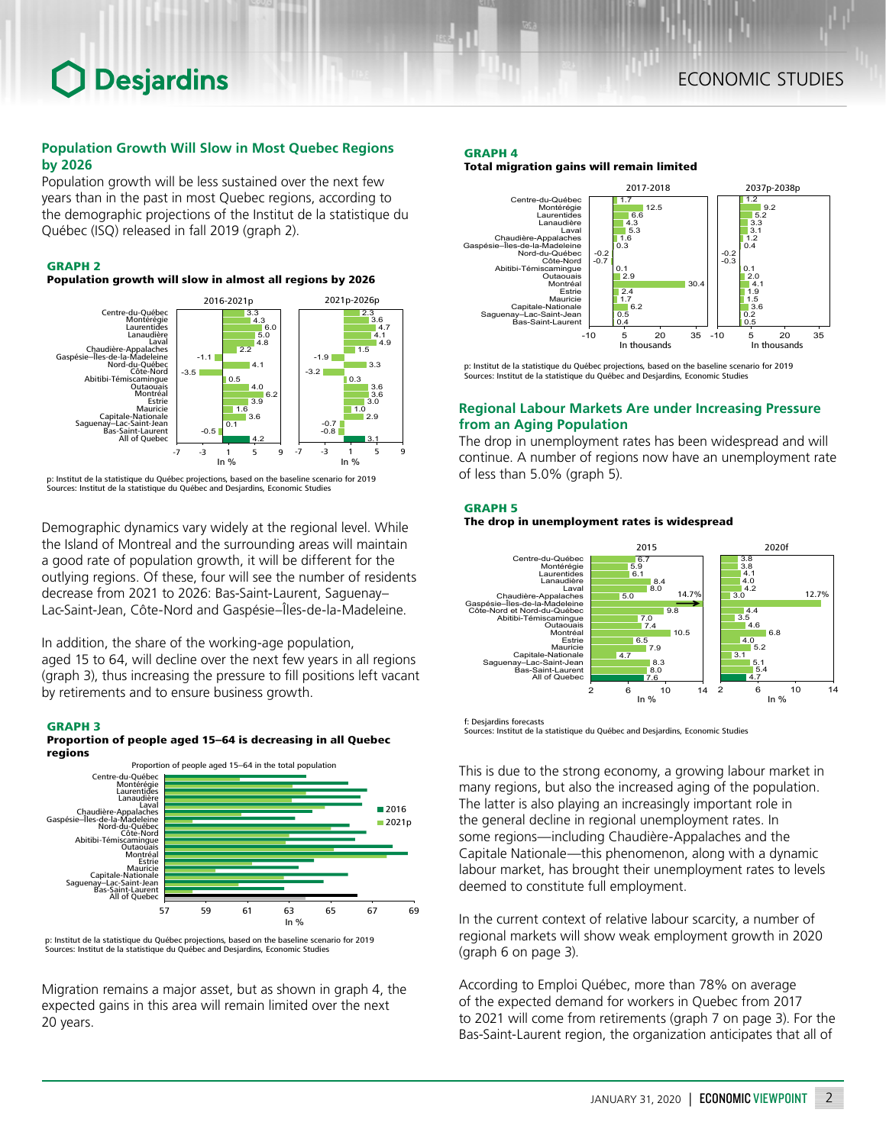# **O** Desjardins

## **Population Growth Will Slow in Most Quebec Regions by 2026**

Population growth will be less sustained over the next few years than in the past in most Quebec regions, according to the demographic projections of the Institut de la statistique du Québec (ISQ) released in fall 2019 (graph 2).

## GRAPH 2

Population growth will slow in almost all regions by 2026



p: Institut de la statistique du Québec projections, based on the baseline scenario for 2019 Sources: Institut de la statistique du Québec and Desjardins, Economic Studies

Demographic dynamics vary widely at the regional level. While the Island of Montreal and the surrounding areas will maintain a good rate of population growth, it will be different for the outlying regions. Of these, four will see the number of residents decrease from 2021 to 2026: Bas-Saint-Laurent, Saguenay– Lac-Saint-Jean, Côte-Nord and Gaspésie–Îles-de-la-Madeleine.

In addition, the share of the working-age population, aged 15 to 64, will decline over the next few years in all regions (graph 3), thus increasing the pressure to fill positions left vacant by retirements and to ensure business growth.

### GRAPH 3





p: Institut de la statistique du Québec projections, based on the baseline scenario for 2019 Sources: Institut de la statistique du Québec and Desjardins, Economic Studies

Migration remains a major asset, but as shown in graph 4, the expected gains in this area will remain limited over the next 20 years.

## GRAPH 4

Total migration gains will remain limited



p: Institut de la statistique du Québec projections, based on the baseline scenario for 2019 Sources: Institut de la statistique du Québec and Desjardins, Economic Studies

## **Regional Labour Markets Are under Increasing Pressure from an Aging Population**

The drop in unemployment rates has been widespread and will continue. A number of regions now have an unemployment rate of less than 5.0% (graph 5).

## GRAPH 5

### The drop in unemployment rates is widespread



f: Desjardins forecasts

Sources: Institut de la statistique du Québec and Desjardins, Economic Studies

This is due to the strong economy, a growing labour market in many regions, but also the increased aging of the population. The latter is also playing an increasingly important role in the general decline in regional unemployment rates. In some regions—including Chaudière-Appalaches and the Capitale Nationale—this phenomenon, along with a dynamic labour market, has brought their unemployment rates to levels deemed to constitute full employment.

In the current context of relative labour scarcity, a number of regional markets will show weak employment growth in 2020 (graph 6 on page 3).

According to Emploi Québec, more than 78% on average of the expected demand for workers in Quebec from 2017 to 2021 will come from retirements (graph 7 on page 3). For the Bas-Saint-Laurent region, the organization anticipates that all of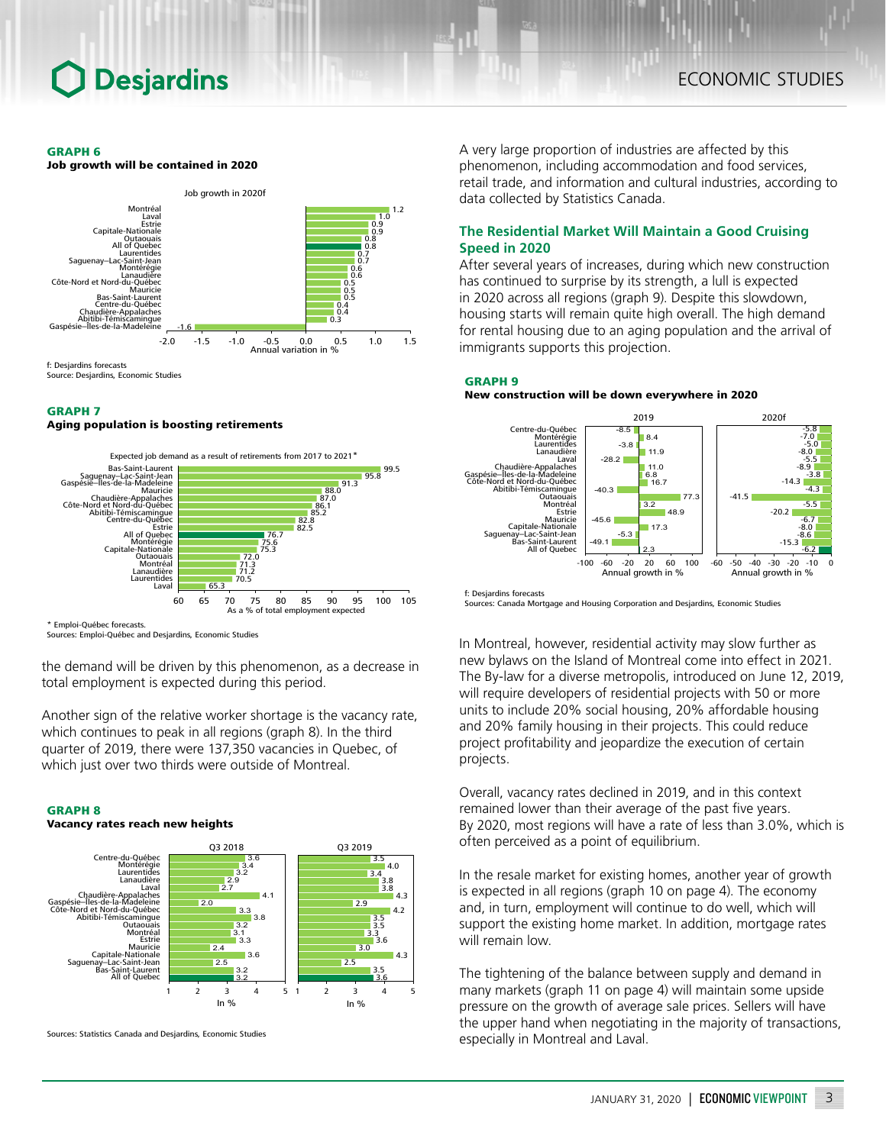## **Desjardins**

#### GRAPH 6



#### GRAPH 7

#### Aging population is boosting retirements



Sources: Emploi-Québec and Desjardins, Economic Studies

the demand will be driven by this phenomenon, as a decrease in total employment is expected during this period.

Another sign of the relative worker shortage is the vacancy rate, which continues to peak in all regions (graph 8). In the third quarter of 2019, there were 137,350 vacancies in Quebec, of which just over two thirds were outside of Montreal.

#### GRAPH 8

#### Vacancy rates reach new heights



Sources: Statistics Canada and Desjardins, Economic Studies

A very large proportion of industries are affected by this phenomenon, including accommodation and food services, retail trade, and information and cultural industries, according to data collected by Statistics Canada.

## **The Residential Market Will Maintain a Good Cruising Speed in 2020**

After several years of increases, during which new construction has continued to surprise by its strength, a lull is expected in 2020 across all regions (graph 9). Despite this slowdown, housing starts will remain quite high overall. The high demand for rental housing due to an aging population and the arrival of immigrants supports this projection.

#### GRAPH 9

### New construction will be down everywhere in 2020



Sources: Canada Mortgage and Housing Corporation and Desjardins, Economic Studies

In Montreal, however, residential activity may slow further as new bylaws on the Island of Montreal come into effect in 2021. The By-law for a diverse metropolis, introduced on June 12, 2019, will require developers of residential projects with 50 or more units to include 20% social housing, 20% affordable housing and 20% family housing in their projects. This could reduce project profitability and jeopardize the execution of certain projects.

Overall, vacancy rates declined in 2019, and in this context remained lower than their average of the past five years. By 2020, most regions will have a rate of less than 3.0%, which is often perceived as a point of equilibrium.

In the resale market for existing homes, another year of growth is expected in all regions (graph 10 on page 4). The economy and, in turn, employment will continue to do well, which will support the existing home market. In addition, mortgage rates will remain low.

The tightening of the balance between supply and demand in many markets (graph 11 on page 4) will maintain some upside pressure on the growth of average sale prices. Sellers will have the upper hand when negotiating in the majority of transactions, especially in Montreal and Laval.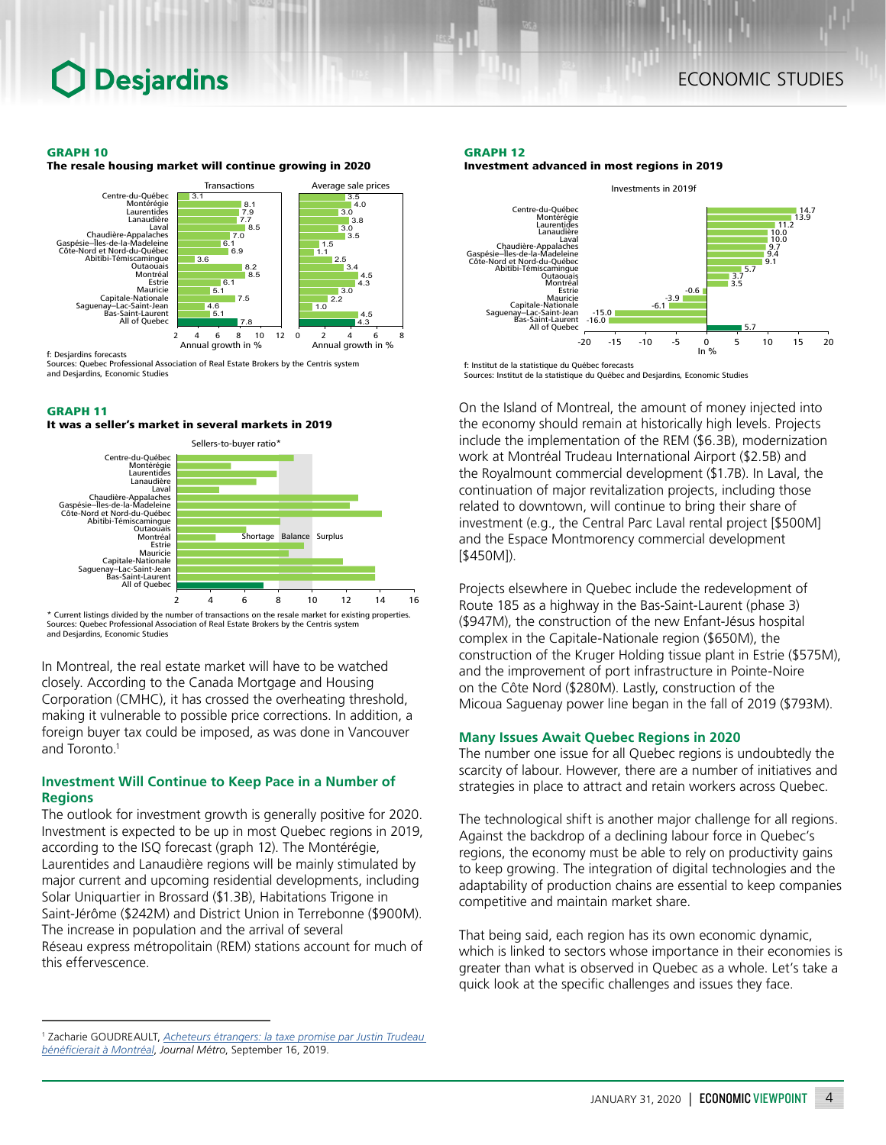## **Desjardins**

#### GRAPH 10

The resale housing market will continue growing in 2020



Sources: Quebec Professional Association of Real Estate Brokers by the Centris system and Desjardins, Economic Studies

#### GRAPH 11

#### It was a seller's market in several markets in 2019



Current listings divided by the number of transactions on the resale market for existing properties. Sources: Quebec Professional Association of Real Estate Brokers by the Centris system and Desjardins, Economic Studies

In Montreal, the real estate market will have to be watched closely. According to the Canada Mortgage and Housing Corporation (CMHC), it has crossed the overheating threshold, making it vulnerable to possible price corrections. In addition, a foreign buyer tax could be imposed, as was done in Vancouver and Toronto.<sup>1</sup>

## **Investment Will Continue to Keep Pace in a Number of Regions**

The outlook for investment growth is generally positive for 2020. Investment is expected to be up in most Quebec regions in 2019, according to the ISQ forecast (graph 12). The Montérégie, Laurentides and Lanaudière regions will be mainly stimulated by major current and upcoming residential developments, including Solar Uniquartier in Brossard (\$1.3B), Habitations Trigone in Saint-Jérôme (\$242M) and District Union in Terrebonne (\$900M). The increase in population and the arrival of several Réseau express métropolitain (REM) stations account for much of this effervescence.

### GRAPH 12

Investment advanced in most regions in 2019



f: Institut de la statistique du Québec forecasts Sources: Institut de la statistique du Québec and Desjardins, Economic Studies

On the Island of Montreal, the amount of money injected into the economy should remain at historically high levels. Projects include the implementation of the REM (\$6.3B), modernization work at Montréal Trudeau International Airport (\$2.5B) and the Royalmount commercial development (\$1.7B). In Laval, the continuation of major revitalization projects, including those related to downtown, will continue to bring their share of investment (e.g., the Central Parc Laval rental project [\$500M] and the Espace Montmorency commercial development [\$450M]).

Projects elsewhere in Quebec include the redevelopment of Route 185 as a highway in the Bas-Saint-Laurent (phase 3) (\$947M), the construction of the new Enfant-Jésus hospital complex in the Capitale-Nationale region (\$650M), the construction of the Kruger Holding tissue plant in Estrie (\$575M), and the improvement of port infrastructure in Pointe-Noire on the Côte Nord (\$280M). Lastly, construction of the Micoua Saguenay power line began in the fall of 2019 (\$793M).

### **Many Issues Await Quebec Regions in 2020**

The number one issue for all Quebec regions is undoubtedly the scarcity of labour. However, there are a number of initiatives and strategies in place to attract and retain workers across Quebec.

The technological shift is another major challenge for all regions. Against the backdrop of a declining labour force in Quebec's regions, the economy must be able to rely on productivity gains to keep growing. The integration of digital technologies and the adaptability of production chains are essential to keep companies competitive and maintain market share.

That being said, each region has its own economic dynamic, which is linked to sectors whose importance in their economies is greater than what is observed in Quebec as a whole. Let's take a quick look at the specific challenges and issues they face.

<sup>1</sup> Zacharie GOUDREAULT, *[Acheteurs étrangers: la taxe promise par Justin Trudeau](https://journalmetro.com/actualites/montreal/2376666/acheteurs-etrangers-la-taxe-promise-par-justin-trudeau-beneficierait-a-montreal/)  [bénéficierait à Montréal](https://journalmetro.com/actualites/montreal/2376666/acheteurs-etrangers-la-taxe-promise-par-justin-trudeau-beneficierait-a-montreal/)*, *Journal Métro*, September 16, 2019.